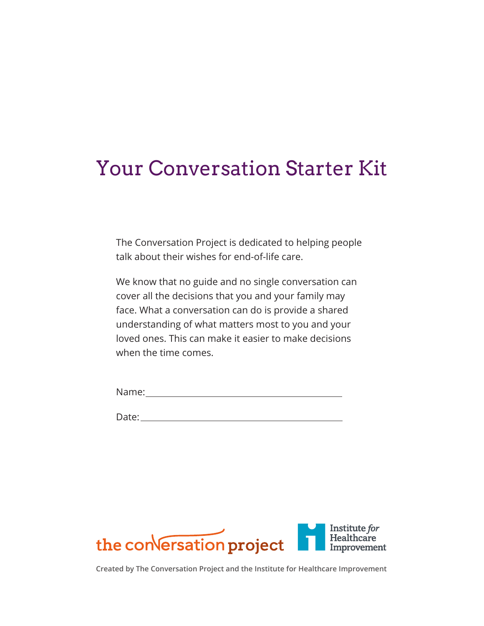# Your Conversation Starter Kit

The Conversation Project is dedicated to helping people talk about their wishes for end-of-life care.

We know that no guide and no single conversation can cover all the decisions that you and your family may face. What a conversation can do is provide a shared understanding of what matters most to you and your loved ones. This can make it easier to make decisions when the time comes.

Name:

Date:



**Created by The Conversation Project and the Institute for Healthcare Improvement**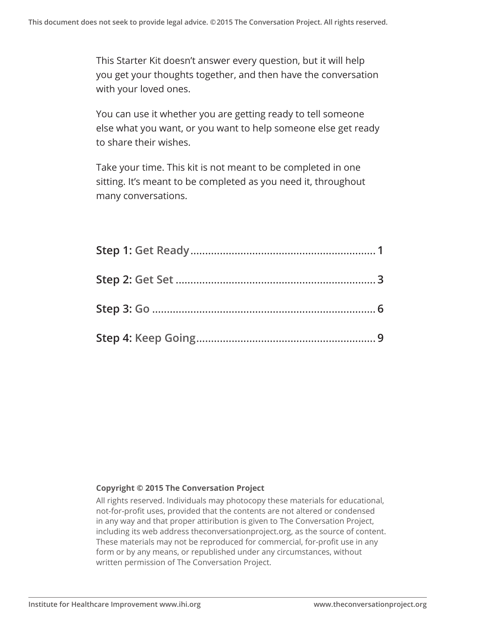This Starter Kit doesn't answer every question, but it will help you get your thoughts together, and then have the conversation with your loved ones.

You can use it whether you are getting ready to tell someone else what you want, or you want to help someone else get ready to share their wishes.

Take your time. This kit is not meant to be completed in one sitting. It's meant to be completed as you need it, throughout many conversations.

#### **Copyright © 2015 The Conversation Project**

All rights reserved. Individuals may photocopy these materials for educational, not-for-profit uses, provided that the contents are not altered or condensed in any way and that proper attiribution is given to The Conversation Project, including its web address theconversationproject.org, as the source of content. These materials may not be reproduced for commercial, for-profit use in any form or by any means, or republished under any circumstances, without written permission of The Conversation Project.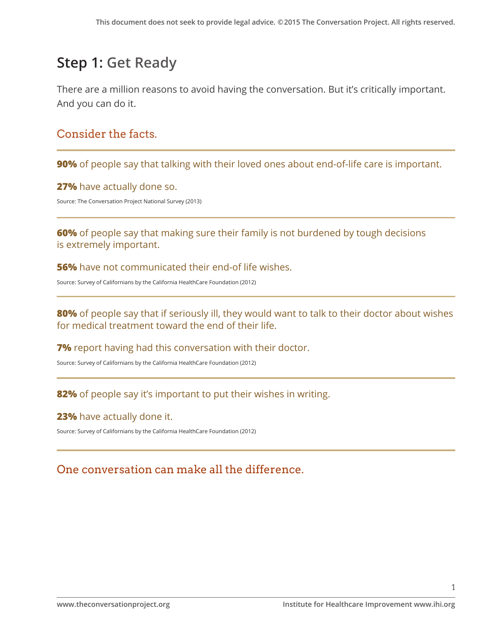## **Step 1: Get Ready**

There are a million reasons to avoid having the conversation. But it's critically important. And you can do it.

## Consider the facts.

**90%** of people say that talking with their loved ones about end-of-life care is important.

**27%** have actually done so.

Source: The Conversation Project National Survey (2013)

**60%** of people say that making sure their family is not burdened by tough decisions is extremely important.

**56%** have not communicated their end-of life wishes.

Source: Survey of Californians by the California HealthCare Foundation (2012)

**80%** of people say that if seriously ill, they would want to talk to their doctor about wishes for medical treatment toward the end of their life.

**7%** report having had this conversation with their doctor.

Source: Survey of Californians by the California HealthCare Foundation (2012)

### **82%** of people say it's important to put their wishes in writing.

#### **23%** have actually done it.

Source: Survey of Californians by the California HealthCare Foundation (2012)

## One conversation can make all the difference.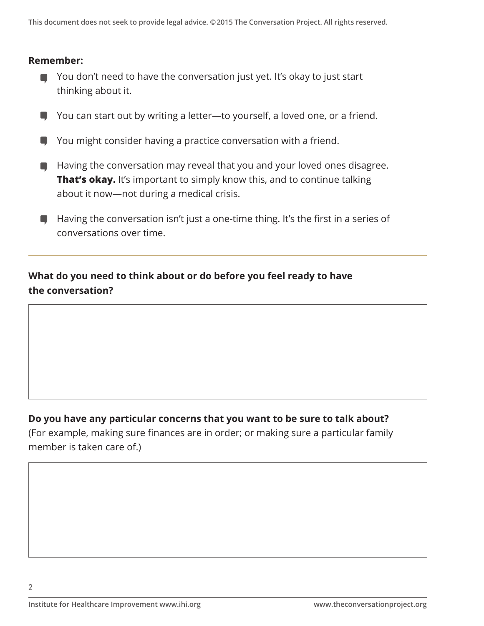#### **Remember:**

- You don't need to have the conversation just yet. It's okay to just start thinking about it.
- You can start out by writing a letter—to yourself, a loved one, or a friend. ۰
- You might consider having a practice conversation with a friend.  $\blacksquare$
- **E** Having the conversation may reveal that you and your loved ones disagree. **That's okay.** It's important to simply know this, and to continue talking about it now—not during a medical crisis.
- Having the conversation isn't just a one-time thing. It's the first in a series of conversations over time.

### **What do you need to think about or do before you feel ready to have the conversation?**

#### **Do you have any particular concerns that you want to be sure to talk about?**

(For example, making sure finances are in order; or making sure a particular family member is taken care of.)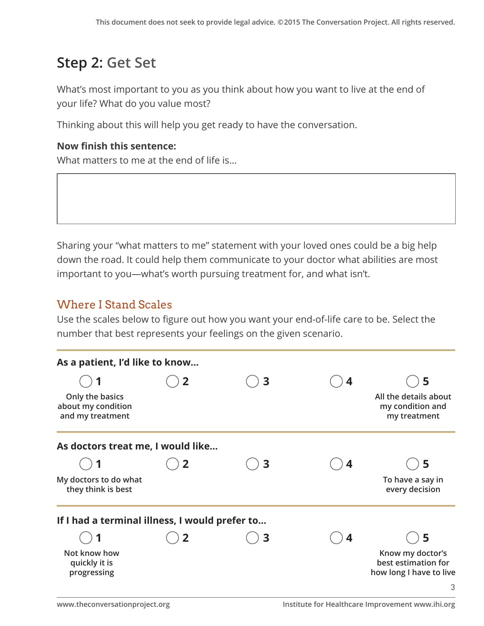## **Step 2: Get Set**

What's most important to you as you think about how you want to live at the end of your life? What do you value most?

Thinking about this will help you get ready to have the conversation.

#### **Now finish this sentence:**

What matters to me at the end of life is…

Sharing your "what matters to me" statement with your loved ones could be a big help down the road. It could help them communicate to your doctor what abilities are most important to you—what's worth pursuing treatment for, and what isn't.

## Where I Stand Scales

Use the scales below to figure out how you want your end-of-life care to be. Select the number that best represents your feelings on the given scenario.

| As a patient, I'd like to know                            |                         |   |                  |                                                                    |
|-----------------------------------------------------------|-------------------------|---|------------------|--------------------------------------------------------------------|
|                                                           | $\overline{\mathbf{2}}$ | 3 | $\boldsymbol{4}$ | 5                                                                  |
| Only the basics<br>about my condition<br>and my treatment |                         |   |                  | All the details about<br>my condition and<br>my treatment          |
| As doctors treat me, I would like                         |                         |   |                  |                                                                    |
|                                                           | $\overline{2}$          | 3 | 4                | 5                                                                  |
| My doctors to do what<br>they think is best               |                         |   |                  | To have a say in<br>every decision                                 |
| If I had a terminal illness, I would prefer to            |                         |   |                  |                                                                    |
|                                                           | 2                       | 3 | 4                | 5                                                                  |
| Not know how<br>quickly it is<br>progressing              |                         |   |                  | Know my doctor's<br>best estimation for<br>how long I have to live |
|                                                           |                         |   |                  | 3                                                                  |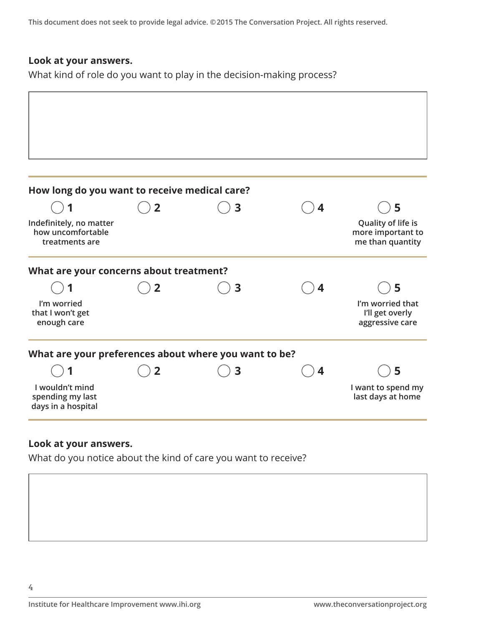**This document does not seek to provide legal advice. ©2015 The Conversation Project. All rights reserved.**

#### **Look at your answers.**

What kind of role do you want to play in the decision-making process?

| How long do you want to receive medical care?                  |                |   |   |                                                             |
|----------------------------------------------------------------|----------------|---|---|-------------------------------------------------------------|
|                                                                | $\overline{2}$ | 3 | 4 | 5                                                           |
| Indefinitely, no matter<br>how uncomfortable<br>treatments are |                |   |   | Quality of life is<br>more important to<br>me than quantity |
| What are your concerns about treatment?                        |                |   |   |                                                             |
|                                                                | $\overline{2}$ | 3 |   | 5                                                           |
| I'm worried<br>that I won't get<br>enough care                 |                |   |   | I'm worried that<br>I'll get overly<br>aggressive care      |
| What are your preferences about where you want to be?          |                |   |   |                                                             |
|                                                                | $\overline{2}$ | 3 | 4 | 5                                                           |
| I wouldn't mind<br>spending my last<br>days in a hospital      |                |   |   | I want to spend my<br>last days at home                     |

#### **Look at your answers.**

What do you notice about the kind of care you want to receive?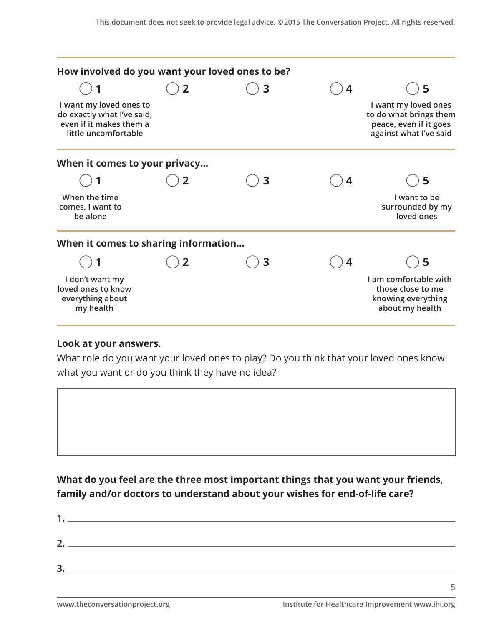| How involved do you want your loved ones to be?                                                          |   |   |   |                                                                                                    |
|----------------------------------------------------------------------------------------------------------|---|---|---|----------------------------------------------------------------------------------------------------|
|                                                                                                          | 2 | 3 | 4 | 5                                                                                                  |
| I want my loved ones to<br>do exactly what I've said,<br>even if it makes them a<br>little uncomfortable |   |   |   | I want my loved ones<br>to do what brings them<br>peace, even if it goes<br>against what I've said |
| When it comes to your privacy                                                                            |   |   |   |                                                                                                    |
|                                                                                                          | 2 | 3 | 4 | 5                                                                                                  |
| When the time<br>comes, I want to<br>be alone                                                            |   |   |   | I want to be<br>surrounded by my<br>loved ones                                                     |
| When it comes to sharing information                                                                     |   |   |   |                                                                                                    |
|                                                                                                          | 2 | 3 | 4 | 5                                                                                                  |
| I don't want my<br>loved ones to know<br>everything about<br>my health                                   |   |   |   | I am comfortable with<br>those close to me<br>knowing everything<br>about my health                |

#### **Look at your answers.**

What role do you want your loved ones to play? Do you think that your loved ones know what you want or do you think they have no idea?



**What do you feel are the three most important things that you want your friends, family and/or doctors to understand about your wishes for end-of-life care?**

| $\mathbf 1$ |  |  |
|-------------|--|--|
| 2.          |  |  |
| 3           |  |  |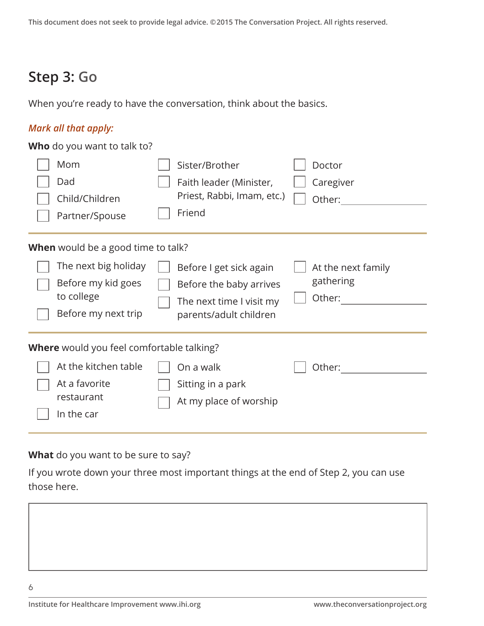## **Step 3: Go**

When you're ready to have the conversation, think about the basics.

### *Mark all that apply:*

**Who** do you want to talk to?

| Mom<br>Dad<br>Child/Children<br>Partner/Spouse                                  | Sister/Brother<br>Faith leader (Minister,<br>Priest, Rabbi, Imam, etc.)<br>Friend                        | Doctor<br>Caregiver<br>Other:             |
|---------------------------------------------------------------------------------|----------------------------------------------------------------------------------------------------------|-------------------------------------------|
| <b>When</b> would be a good time to talk?                                       |                                                                                                          |                                           |
| The next big holiday<br>Before my kid goes<br>to college<br>Before my next trip | Before I get sick again<br>Before the baby arrives<br>The next time I visit my<br>parents/adult children | At the next family<br>gathering<br>Other: |
| <b>Where</b> would you feel comfortable talking?                                |                                                                                                          |                                           |
| At the kitchen table<br>At a favorite<br>restaurant<br>In the car               | On a walk<br>Sitting in a park<br>At my place of worship                                                 | Other:                                    |

**What** do you want to be sure to say?

If you wrote down your three most important things at the end of Step 2, you can use those here.

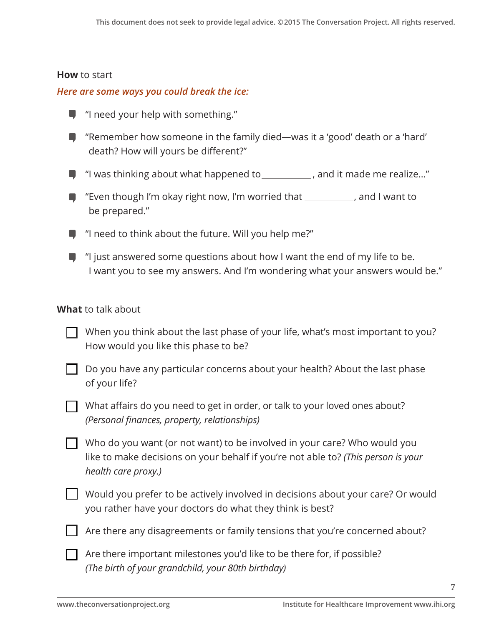#### **How** to start

#### *Here are some ways you could break the ice:*

- $\blacksquare$  "I need your help with something."
- "Remember how someone in the family died—was it a 'good' death or a 'hard' death? How will yours be different?"
- $\blacksquare$  "I was thinking about what happened to  $\blacksquare$ , and it made me realize..."
- F "Even though I'm okay right now, I'm worried that \_\_\_\_\_\_\_\_, and I want to be prepared."
- $\blacksquare$  "I need to think about the future. Will you help me?"
- $\Box$  "I just answered some questions about how I want the end of my life to be. I want you to see my answers. And I'm wondering what your answers would be."

#### **What** to talk about

| $\Box$ When you think about the last phase of your life, what's most important to you? |
|----------------------------------------------------------------------------------------|
| How would you like this phase to be?                                                   |

- Do you have any particular concerns about your health? About the last phase of your life?
- What affairs do you need to get in order, or talk to your loved ones about? *(Personal finances, property, relationships)*

Who do you want (or not want) to be involved in your care? Who would you like to make decisions on your behalf if you're not able to? *(This person is your health care proxy.)*

 Would you prefer to be actively involved in decisions about your care? Or would you rather have your doctors do what they think is best?



Are there any disagreements or family tensions that you're concerned about?

 $\Box$  Are there important milestones you'd like to be there for, if possible? *(The birth of your grandchild, your 80th birthday)*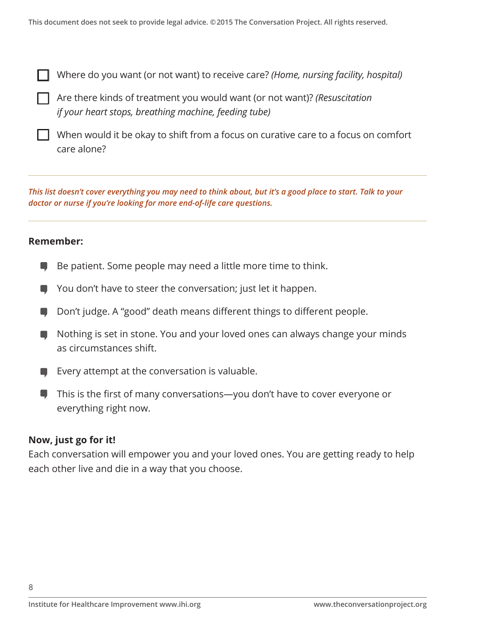Where do you want (or not want) to receive care? *(Home, nursing facility, hospital)*

Are there kinds of treatment you would want (or not want)? *(Resuscitation if your heart stops, breathing machine, feeding tube)* 

 When would it be okay to shift from a focus on curative care to a focus on comfort care alone?

*This list doesn't cover everything you may need to think about, but it's a good place to start. Talk to your doctor or nurse if you're looking for more end-of-life care questions.* 

#### **Remember:**

 $\overline{a}$ 

- Be patient. Some people may need a little more time to think. 0
- You don't have to steer the conversation; just let it happen. o
- Don't judge. A "good" death means different things to different people.
- $\blacksquare$  Nothing is set in stone. You and your loved ones can always change your minds as circumstances shift.
- Every attempt at the conversation is valuable.
- This is the first of many conversations—you don't have to cover everyone or ۰ everything right now.

#### **Now, just go for it!**

Each conversation will empower you and your loved ones. You are getting ready to help each other live and die in a way that you choose.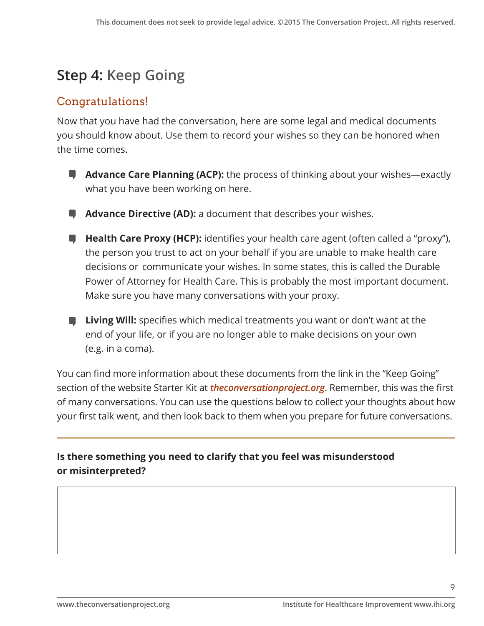## **Step 4: Keep Going**

## Congratulations!

Now that you have had the conversation, here are some legal and medical documents you should know about. Use them to record your wishes so they can be honored when the time comes.

- **Advance Care Planning (ACP):** the process of thinking about your wishes—exactly what you have been working on here.
- **Advance Directive (AD):** a document that describes your wishes.
- **Health Care Proxy (HCP):** identifies your health care agent (often called a "proxy"), the person you trust to act on your behalf if you are unable to make health care decisions or communicate your wishes. In some states, this is called the Durable Power of Attorney for Health Care. This is probably the most important document. Make sure you have many conversations with your proxy.
- **Living Will:** specifies which medical treatments you want or don't want at the end of your life, or if you are no longer able to make decisions on your own (e.g. in a coma).

You can find more information about these documents from the link in the "Keep Going" section of the website Starter Kit at *theconversationproject.org*. Remember, this was the first of many conversations. You can use the questions below to collect your thoughts about how your first talk went, and then look back to them when you prepare for future conversations.

**Is there something you need to clarify that you feel was misunderstood or misinterpreted?**